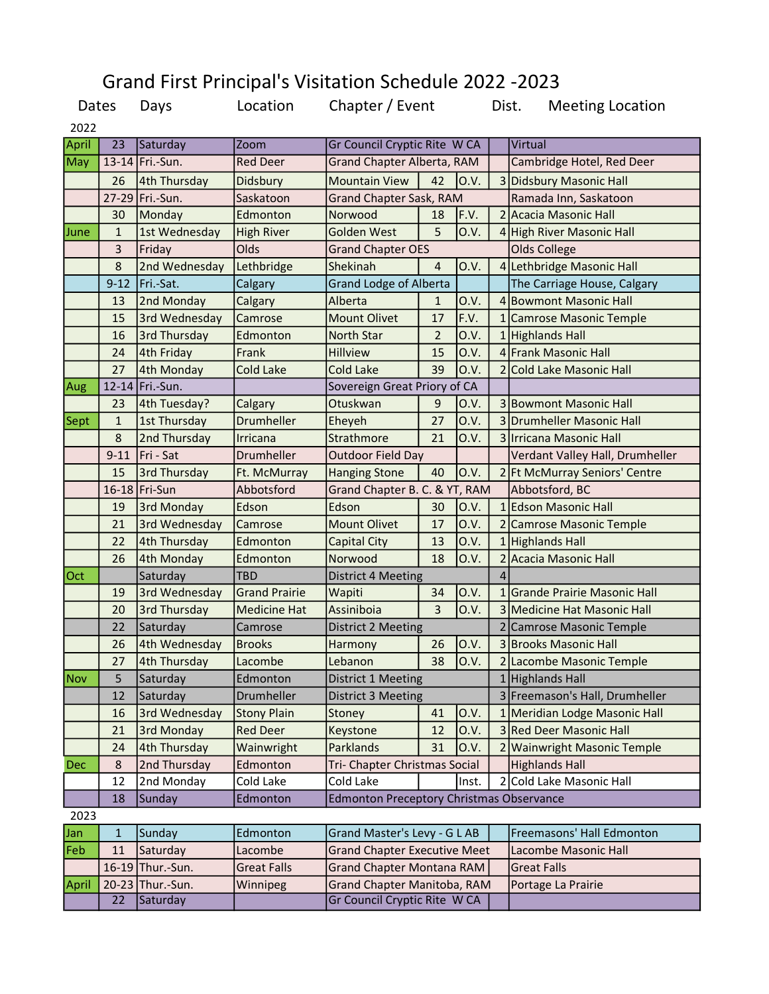## Grand First Principal's Visitation Schedule 2022 -2023

|            | Dates<br>Days |                  | Location             | Chapter / Event                                 |                |             | Dist.<br><b>Meeting Location</b> |                                 |  |
|------------|---------------|------------------|----------------------|-------------------------------------------------|----------------|-------------|----------------------------------|---------------------------------|--|
| 2022       |               |                  |                      |                                                 |                |             |                                  |                                 |  |
| April      | 23            | Saturday         | <b>Zoom</b>          | Gr Council Cryptic Rite W CA                    |                |             |                                  | Virtual                         |  |
| May        |               | 13-14 Fri.-Sun.  | <b>Red Deer</b>      | <b>Grand Chapter Alberta, RAM</b>               |                |             |                                  | Cambridge Hotel, Red Deer       |  |
|            | 26            | 4th Thursday     | Didsbury             | <b>Mountain View</b>                            | 42             | 0.V.        |                                  | 3 Didsbury Masonic Hall         |  |
|            | $27 - 29$     | Fri.-Sun.        | Saskatoon            | <b>Grand Chapter Sask, RAM</b>                  |                |             |                                  | Ramada Inn, Saskatoon           |  |
|            | 30            | Monday           | Edmonton             | Norwood                                         | 18             | F.V.        |                                  | 2 Acacia Masonic Hall           |  |
| June       | $\mathbf{1}$  | 1st Wednesday    | <b>High River</b>    | <b>Golden West</b>                              | 5              | 0.V.        |                                  | 4 High River Masonic Hall       |  |
|            | 3             | Friday           | Olds                 | <b>Grand Chapter OES</b>                        |                |             |                                  | Olds College                    |  |
|            | 8             | 2nd Wednesday    | Lethbridge           | Shekinah                                        | 4              | 0.V.        |                                  | 4 Lethbridge Masonic Hall       |  |
|            | $9 - 12$      | Fri.-Sat.        | Calgary              | <b>Grand Lodge of Alberta</b>                   |                |             |                                  | The Carriage House, Calgary     |  |
|            | 13            | 2nd Monday       | Calgary              | Alberta                                         | 1              | O.V.        |                                  | 4 Bowmont Masonic Hall          |  |
|            | 15            | 3rd Wednesday    | Camrose              | <b>Mount Olivet</b>                             | 17             | F.V.        |                                  | 1 Camrose Masonic Temple        |  |
|            | 16            | 3rd Thursday     | Edmonton             | North Star                                      | 2              | 0.V.        |                                  | 1 Highlands Hall                |  |
|            | 24            | 4th Friday       | Frank                | <b>Hillview</b>                                 | 15             | O.V.        |                                  | 4 Frank Masonic Hall            |  |
|            | 27            | 4th Monday       | <b>Cold Lake</b>     | <b>Cold Lake</b>                                | 39             | O.V.        |                                  | 2 Cold Lake Masonic Hall        |  |
| Aug        |               | 12-14 Fri.-Sun.  |                      | Sovereign Great Priory of CA                    |                |             |                                  |                                 |  |
|            | 23            | 4th Tuesday?     | Calgary              | Otuskwan                                        | 9              | O.V.        |                                  | <b>3 Bowmont Masonic Hall</b>   |  |
| Sept       | $\mathbf{1}$  | 1st Thursday     | Drumheller           | Eheyeh                                          | 27             | O.V.        |                                  | 3 Drumheller Masonic Hall       |  |
|            | 8             | 2nd Thursday     | Irricana             | Strathmore                                      | 21             | O.V.        |                                  | 3 Irricana Masonic Hall         |  |
|            | $9 - 11$      | Fri - Sat        | Drumheller           | <b>Outdoor Field Day</b>                        |                |             |                                  | Verdant Valley Hall, Drumheller |  |
|            | 15            | 3rd Thursday     | Ft. McMurray         | <b>Hanging Stone</b>                            | 40             | 0.V.        |                                  | 2 Ft McMurray Seniors' Centre   |  |
|            |               | 16-18 Fri-Sun    | Abbotsford           | Grand Chapter B. C. & YT, RAM                   |                |             |                                  | Abbotsford, BC                  |  |
|            | 19            | 3rd Monday       | Edson                | Edson                                           | 30             | 0.V.        |                                  | 1 Edson Masonic Hall            |  |
|            | 21            | 3rd Wednesday    | Camrose              | <b>Mount Olivet</b>                             | 17             | O.V.        |                                  | 2 Camrose Masonic Temple        |  |
|            | 22            | 4th Thursday     | Edmonton             | <b>Capital City</b>                             | 13             | 0.V.        |                                  | 1 Highlands Hall                |  |
|            | 26            | 4th Monday       | Edmonton             | Norwood                                         | 18             | O.V.        |                                  | 2 Acacia Masonic Hall           |  |
| Oct        |               | Saturday         | <b>TBD</b>           | <b>District 4 Meeting</b>                       |                |             | 4                                |                                 |  |
|            | 19            | 3rd Wednesday    | <b>Grand Prairie</b> | Wapiti                                          | 34             | O.V.        | 1                                | lGrande Prairie Masonic Hall    |  |
|            | 20            | 3rd Thursday     | <b>Medicine Hat</b>  | Assiniboia                                      | $\overline{3}$ | 0.V.        |                                  | 3 Medicine Hat Masonic Hall     |  |
|            | 22            | Saturday         | Camrose              | District 2 Meeting                              |                |             |                                  | 2 Camrose Masonic Temple        |  |
|            | 26            | 4th Wednesday    | <b>Brooks</b>        | Harmony                                         | 26             | 0.V.        |                                  | 3 Brooks Masonic Hall           |  |
|            | 27            | 4th Thursday     | Lacombe              | Lebanon                                         | 38             | <b>O.V.</b> |                                  | 2 Lacombe Masonic Temple        |  |
| <b>Nov</b> | 5             | Saturday         | Edmonton             | District 1 Meeting                              |                |             |                                  | 1 Highlands Hall                |  |
|            | 12            | Saturday         | Drumheller           | District 3 Meeting                              |                |             |                                  | 3 Freemason's Hall, Drumheller  |  |
|            | 16            | 3rd Wednesday    | <b>Stony Plain</b>   | Stoney                                          | 41             | O.V.        | $\mathbf{1}$                     | Meridian Lodge Masonic Hall     |  |
|            | 21            | 3rd Monday       | <b>Red Deer</b>      | Keystone                                        | 12             | 0.V.        |                                  | 3 Red Deer Masonic Hall         |  |
|            | 24            | 4th Thursday     | Wainwright           | Parklands                                       | 31             | 0.V.        |                                  | 2 Wainwright Masonic Temple     |  |
| <b>Dec</b> | 8             | 2nd Thursday     | Edmonton             | Tri- Chapter Christmas Social                   |                |             | <b>Highlands Hall</b>            |                                 |  |
|            | 12            | 2nd Monday       | Cold Lake            | Cold Lake                                       |                | Inst.       |                                  | 2 Cold Lake Masonic Hall        |  |
|            | 18            | Sunday           | Edmonton             | <b>Edmonton Preceptory Christmas Observance</b> |                |             |                                  |                                 |  |
| 2023       |               |                  |                      |                                                 |                |             |                                  |                                 |  |
| Jan        | 1             | Sunday           | Edmonton             | Grand Master's Levy - G L AB                    |                |             |                                  | Freemasons' Hall Edmonton       |  |
| Feb        | 11            | Saturday         | Lacombe              | <b>Grand Chapter Executive Meet</b>             |                |             |                                  | Lacombe Masonic Hall            |  |
|            |               | 16-19 Thur.-Sun. | <b>Great Falls</b>   | <b>Grand Chapter Montana RAM</b>                |                |             |                                  | <b>Great Falls</b>              |  |
| April      |               | 20-23 Thur.-Sun. | Winnipeg             | Grand Chapter Manitoba, RAM                     |                |             |                                  | Portage La Prairie              |  |
|            | 22            | Saturday         |                      | Gr Council Cryptic Rite W CA                    |                |             |                                  |                                 |  |